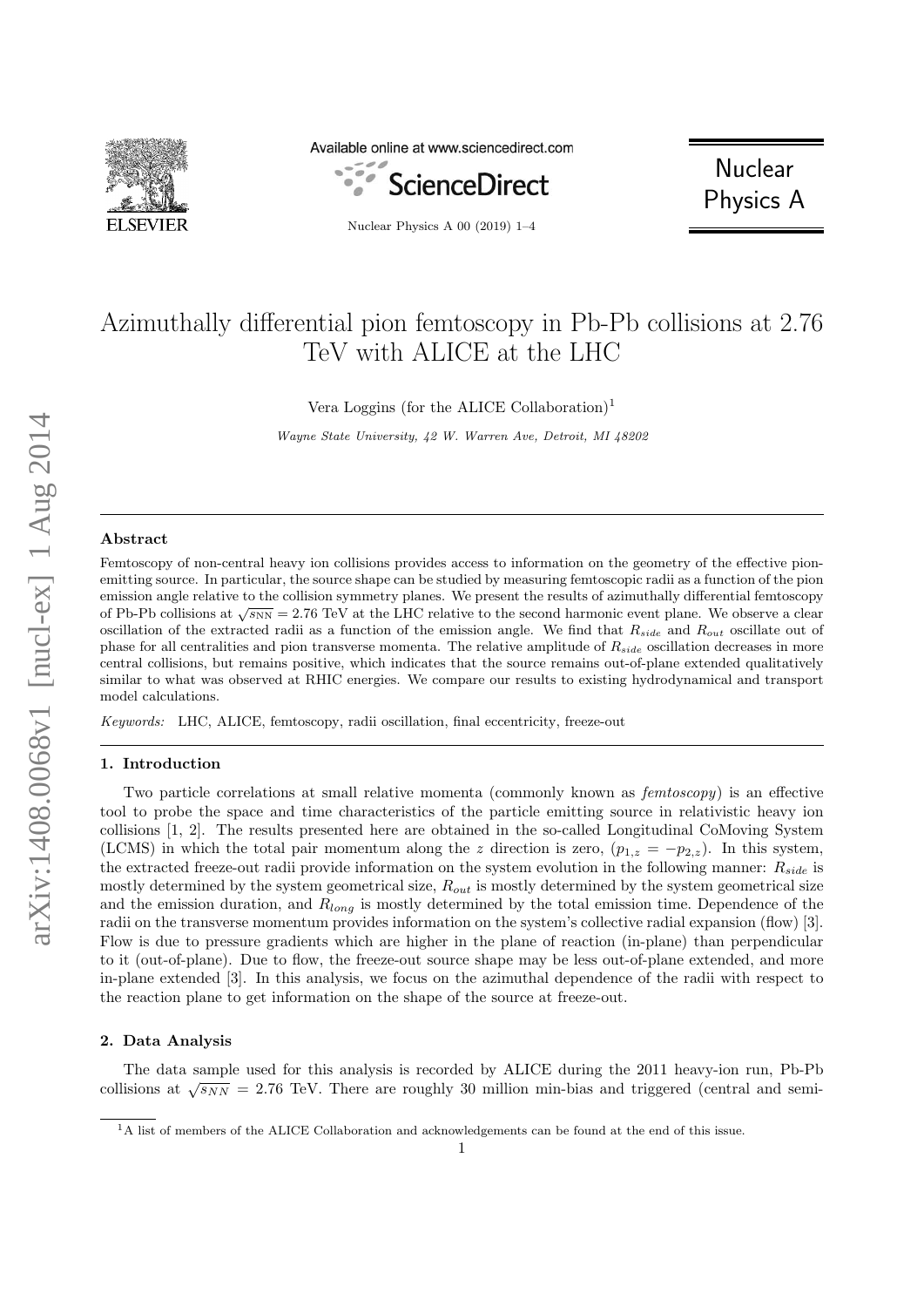

Available online at www.sciencedirect.com



Nuclear Physics A 00 (2019) 1–4

**Nuclear** Physics A

# Azimuthally differential pion femtoscopy in Pb-Pb collisions at 2.76 TeV with ALICE at the LHC

Vera Loggins (for the ALICE Collaboration)<sup>1</sup>

Wayne State University, 42 W. Warren Ave, Detroit, MI 48202

### Abstract

Femtoscopy of non-central heavy ion collisions provides access to information on the geometry of the effective pionemitting source. In particular, the source shape can be studied by measuring femtoscopic radii as a function of the pion emission angle relative to the collision symmetry planes. We present the results of azimuthally differential femtoscopy of Pb-Pb collisions at  $\sqrt{s_{NN}} = 2.76$  TeV at the LHC relative to the second harmonic event plane. We observe a clear oscillation of the extracted radii as a function of the emission angle. We find that  $R_{side}$  and  $R_{out}$  oscillate out of phase for all centralities and pion transverse momenta. The relative amplitude of  $R_{side}$  oscillation decreases in more central collisions, but remains positive, which indicates that the source remains out-of-plane extended qualitatively similar to what was observed at RHIC energies. We compare our results to existing hydrodynamical and transport model calculations.

Keywords: LHC, ALICE, femtoscopy, radii oscillation, final eccentricity, freeze-out

### 1. Introduction

Two particle correlations at small relative momenta (commonly known as femtoscopy) is an effective tool to probe the space and time characteristics of the particle emitting source in relativistic heavy ion collisions [1, 2]. The results presented here are obtained in the so-called Longitudinal CoMoving System (LCMS) in which the total pair momentum along the z direction is zero,  $(p_{1,z} = -p_{2,z})$ . In this system, the extracted freeze-out radii provide information on the system evolution in the following manner:  $R_{side}$  is mostly determined by the system geometrical size,  $R_{out}$  is mostly determined by the system geometrical size and the emission duration, and  $R_{long}$  is mostly determined by the total emission time. Dependence of the radii on the transverse momentum provides information on the system's collective radial expansion (flow) [3]. Flow is due to pressure gradients which are higher in the plane of reaction (in-plane) than perpendicular to it (out-of-plane). Due to flow, the freeze-out source shape may be less out-of-plane extended, and more in-plane extended [3]. In this analysis, we focus on the azimuthal dependence of the radii with respect to the reaction plane to get information on the shape of the source at freeze-out.

## 2. Data Analysis

The data sample used for this analysis is recorded by ALICE during the 2011 heavy-ion run, Pb-Pb collisions at  $\sqrt{s_{NN}} = 2.76$  TeV. There are roughly 30 million min-bias and triggered (central and semi-

<sup>&</sup>lt;sup>1</sup>A list of members of the ALICE Collaboration and acknowledgements can be found at the end of this issue.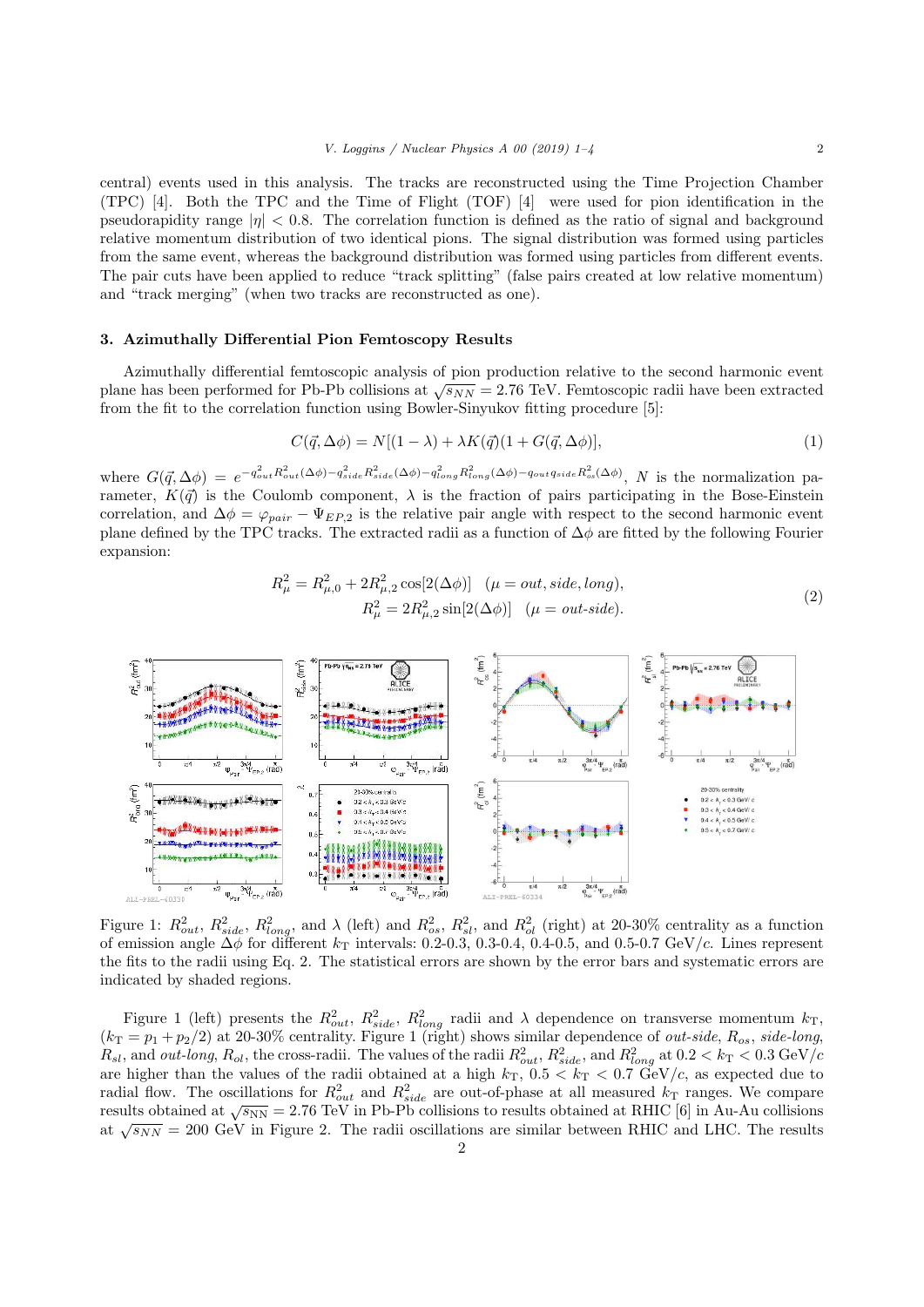central) events used in this analysis. The tracks are reconstructed using the Time Projection Chamber (TPC) [4]. Both the TPC and the Time of Flight (TOF) [4] were used for pion identification in the pseudorapidity range  $|\eta| < 0.8$ . The correlation function is defined as the ratio of signal and background relative momentum distribution of two identical pions. The signal distribution was formed using particles from the same event, whereas the background distribution was formed using particles from different events. The pair cuts have been applied to reduce "track splitting" (false pairs created at low relative momentum) and "track merging" (when two tracks are reconstructed as one).

## 3. Azimuthally Differential Pion Femtoscopy Results

Azimuthally differential femtoscopic analysis of pion production relative to the second harmonic event plane has been performed for Pb-Pb collisions at  $\sqrt{s_{NN}} = 2.76$  TeV. Femtoscopic radii have been extracted from the fit to the correlation function using Bowler-Sinyukov fitting procedure [5]:

$$
C(\vec{q}, \Delta \phi) = N[(1 - \lambda) + \lambda K(\vec{q})(1 + G(\vec{q}, \Delta \phi)), \tag{1}
$$

where  $G(\vec{q}, \Delta\phi) = e^{-q_{out}^2 R_{out}^2 (\Delta\phi) - q_{side}^2 R_{side}^2 (\Delta\phi) - q_{long}^2 R_{long}^2 (\Delta\phi) - q_{out}^2 q_{side} R_{os}^2 (\Delta\phi)}$ , N is the normalization parameter,  $K(\vec{q})$  is the Coulomb component,  $\lambda$  is the fraction of pairs participating in the Bose-Einstein correlation, and  $\Delta \phi = \varphi_{pair} - \Psi_{EP,2}$  is the relative pair angle with respect to the second harmonic event plane defined by the TPC tracks. The extracted radii as a function of  $\Delta\phi$  are fitted by the following Fourier expansion:

$$
R_{\mu}^{2} = R_{\mu,0}^{2} + 2R_{\mu,2}^{2} \cos[2(\Delta\phi)] \quad (\mu = out, side, long),
$$
  

$$
R_{\mu}^{2} = 2R_{\mu,2}^{2} \sin[2(\Delta\phi)] \quad (\mu = out-side).
$$
 (2)



Figure 1:  $R_{out}^2$ ,  $R_{side}^2$ ,  $R_{long}^2$ , and  $\lambda$  (left) and  $R_{os}^2$ ,  $R_{sl}^2$ , and  $R_{ol}^2$  (right) at 20-30% centrality as a function of emission angle  $\Delta\phi$  for different  $k_T$  intervals: 0.2-0.3, 0.3-0.4, 0.4-0.5, and 0.5-0.7 GeV/c. Lines represent the fits to the radii using Eq. 2. The statistical errors are shown by the error bars and systematic errors are indicated by shaded regions.

Figure 1 (left) presents the  $R_{out}^2$ ,  $R_{side}^2$ ,  $R_{long}^2$  radii and  $\lambda$  dependence on transverse momentum  $k_T$ ,  $(k_T = p_1 + p_2/2)$  at 20-30% centrality. Figure 1 (right) shows similar dependence of *out-side*,  $R_{os}$ , *side-long*,  $R_{sl}$ , and *out-long*,  $R_{ol}$ , the cross-radii. The values of the radii  $R_{out}^2$ ,  $R_{side}^2$ , and  $R_{long}^2$  at  $0.2 < k_T < 0.3$  GeV/c are higher than the values of the radii obtained at a high  $k_T$ ,  $0.5 < k_T < 0.7$  GeV/c, as expected due to radial flow. The oscillations for  $R_{out}^2$  and  $R_{side}^2$  are out-of-phase at all measured  $k_T$  ranges. We compare results obtained at  $\sqrt{s_{NN}} = 2.76 \text{ TeV}$  in Pb-Pb collisions to results obtained at RHIC [6] in Au-Au collisions at  $\sqrt{s_{NN}} = 200$  GeV in Figure 2. The radii oscillations are similar between RHIC and LHC. The results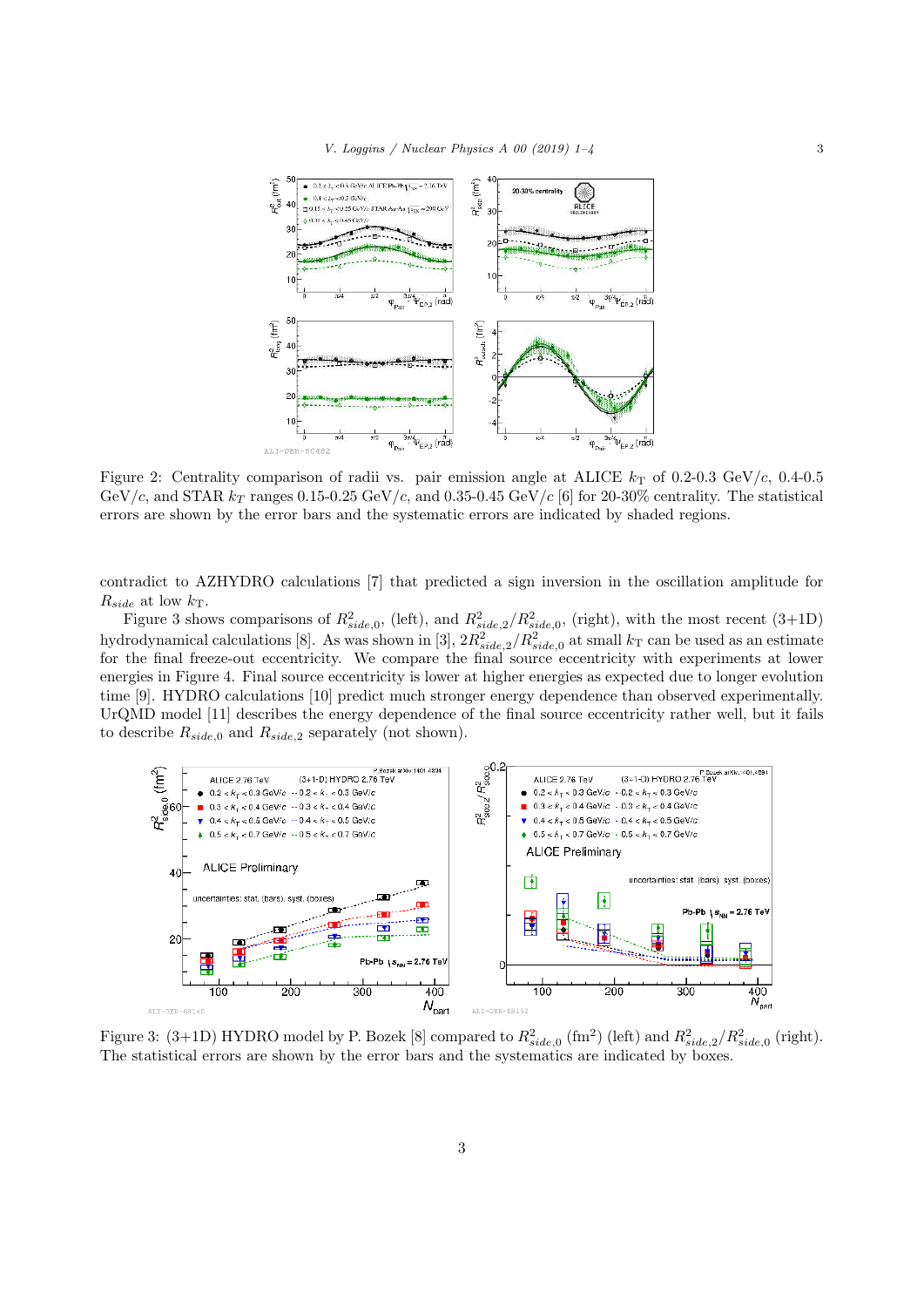

Figure 2: Centrality comparison of radii vs. pair emission angle at ALICE  $k<sub>T</sub>$  of 0.2-0.3 GeV/c, 0.4-0.5 GeV/c, and STAR  $k_T$  ranges 0.15-0.25 GeV/c, and 0.35-0.45 GeV/c [6] for 20-30% centrality. The statistical errors are shown by the error bars and the systematic errors are indicated by shaded regions.

contradict to AZHYDRO calculations [7] that predicted a sign inversion in the oscillation amplitude for  $R_{side}$  at low  $k_T$ .

Figure 3 shows comparisons of  $R_{side,0}^2$ , (left), and  $R_{side,2}^2/R_{side,0}^2$ , (right), with the most recent (3+1D) hydrodynamical calculations [8]. As was shown in [3],  $2R_{side,2}^2/R_{side,0}^2$  at small  $k_T$  can be used as an estimate for the final freeze-out eccentricity. We compare the final source eccentricity with experiments at lower energies in Figure 4. Final source eccentricity is lower at higher energies as expected due to longer evolution time [9]. HYDRO calculations [10] predict much stronger energy dependence than observed experimentally. UrQMD model [11] describes the energy dependence of the final source eccentricity rather well, but it fails to describe  $R_{side,0}$  and  $R_{side,2}$  separately (not shown).



Figure 3: (3+1D) HYDRO model by P. Bozek [8] compared to  $R_{side,0}^2$  (fm<sup>2</sup>) (left) and  $R_{side,2}^2/R_{side,0}^2$  (right). The statistical errors are shown by the error bars and the systematics are indicated by boxes.